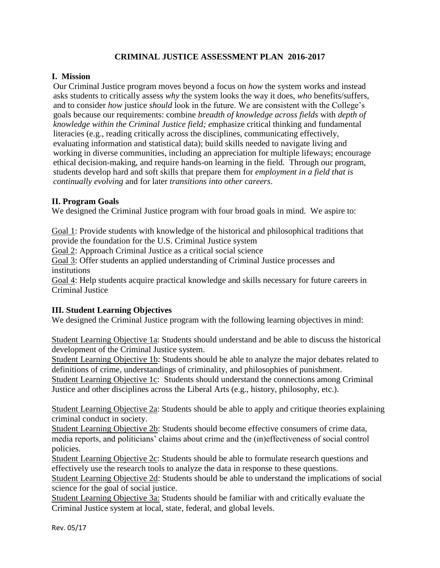## **CRIMINAL JUSTICE ASSESSMENT PLAN 2016-2017**

### **I. Mission**

Our Criminal Justice program moves beyond a focus on *how* the system works and instead asks students to critically assess *why* the system looks the way it does, *who* benefits/suffers, and to consider *how* justice *should* look in the future. We are consistent with the College's goals because our requirements: combine *breadth of knowledge across fields* with *depth of knowledge within the Criminal Justice field; e*mphasize critical thinking and fundamental literacies (e.g., reading critically across the disciplines, communicating effectively, evaluating information and statistical data); build skills needed to navigate living and working in diverse communities, including an appreciation for multiple lifeways; encourage ethical decision-making, and require hands-on learning in the field. Through our program, students develop hard and soft skills that prepare them for *employment in a field that is continually evolving* and for later *transitions into other careers*.

#### **II. Program Goals**

We designed the Criminal Justice program with four broad goals in mind. We aspire to:

Goal 1: Provide students with knowledge of the historical and philosophical traditions that provide the foundation for the U.S. Criminal Justice system

Goal 2: Approach Criminal Justice as a critical social science

Goal 3: Offer students an applied understanding of Criminal Justice processes and institutions

Goal 4: Help students acquire practical knowledge and skills necessary for future careers in Criminal Justice

## **III. Student Learning Objectives**

We designed the Criminal Justice program with the following learning objectives in mind:

Student Learning Objective 1a: Students should understand and be able to discuss the historical development of the Criminal Justice system.

Student Learning Objective 1b: Students should be able to analyze the major debates related to definitions of crime, understandings of criminality, and philosophies of punishment.

Student Learning Objective 1c: Students should understand the connections among Criminal Justice and other disciplines across the Liberal Arts (e.g., history, philosophy, etc.).

Student Learning Objective 2a: Students should be able to apply and critique theories explaining criminal conduct in society.

Student Learning Objective 2b: Students should become effective consumers of crime data, media reports, and politicians' claims about crime and the (in)effectiveness of social control policies.

Student Learning Objective 2c: Students should be able to formulate research questions and effectively use the research tools to analyze the data in response to these questions.

Student Learning Objective 2d: Students should be able to understand the implications of social science for the goal of social justice.

Student Learning Objective 3a: Students should be familiar with and critically evaluate the Criminal Justice system at local, state, federal, and global levels.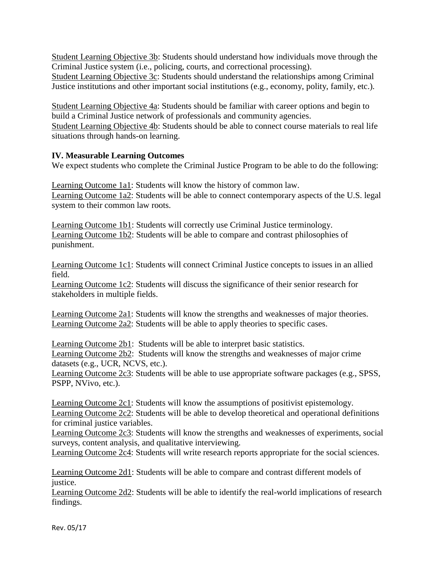Student Learning Objective 3b: Students should understand how individuals move through the Criminal Justice system (i.e., policing, courts, and correctional processing). Student Learning Objective 3c: Students should understand the relationships among Criminal

Justice institutions and other important social institutions (e.g., economy, polity, family, etc.).

Student Learning Objective 4a: Students should be familiar with career options and begin to build a Criminal Justice network of professionals and community agencies. Student Learning Objective 4b: Students should be able to connect course materials to real life situations through hands-on learning.

#### **IV. Measurable Learning Outcomes**

We expect students who complete the Criminal Justice Program to be able to do the following:

Learning Outcome 1a1: Students will know the history of common law. Learning Outcome 1a2: Students will be able to connect contemporary aspects of the U.S. legal system to their common law roots.

Learning Outcome 1b1: Students will correctly use Criminal Justice terminology. Learning Outcome 1b2: Students will be able to compare and contrast philosophies of punishment.

Learning Outcome 1c1: Students will connect Criminal Justice concepts to issues in an allied field.

Learning Outcome 1c2: Students will discuss the significance of their senior research for stakeholders in multiple fields.

Learning Outcome 2a1: Students will know the strengths and weaknesses of major theories. Learning Outcome 2a2: Students will be able to apply theories to specific cases.

Learning Outcome 2b1: Students will be able to interpret basic statistics.

Learning Outcome 2b2: Students will know the strengths and weaknesses of major crime datasets (e.g., UCR, NCVS, etc.).

Learning Outcome 2c3: Students will be able to use appropriate software packages (e.g., SPSS, PSPP, NVivo, etc.).

Learning Outcome 2c1: Students will know the assumptions of positivist epistemology. Learning Outcome 2c2: Students will be able to develop theoretical and operational definitions for criminal justice variables.

Learning Outcome 2c3: Students will know the strengths and weaknesses of experiments, social surveys, content analysis, and qualitative interviewing.

Learning Outcome 2c4: Students will write research reports appropriate for the social sciences.

Learning Outcome 2d1: Students will be able to compare and contrast different models of justice.

Learning Outcome 2d2: Students will be able to identify the real-world implications of research findings.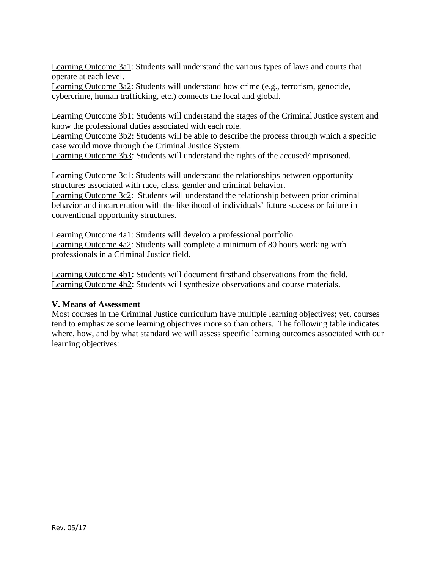Learning Outcome 3a1: Students will understand the various types of laws and courts that operate at each level.

Learning Outcome 3a2: Students will understand how crime (e.g., terrorism, genocide, cybercrime, human trafficking, etc.) connects the local and global.

Learning Outcome 3b1: Students will understand the stages of the Criminal Justice system and know the professional duties associated with each role.

Learning Outcome 3b2: Students will be able to describe the process through which a specific case would move through the Criminal Justice System.

Learning Outcome 3b3: Students will understand the rights of the accused/imprisoned.

Learning Outcome 3c1: Students will understand the relationships between opportunity structures associated with race, class, gender and criminal behavior.

Learning Outcome 3c2: Students will understand the relationship between prior criminal behavior and incarceration with the likelihood of individuals' future success or failure in conventional opportunity structures.

Learning Outcome 4a1: Students will develop a professional portfolio. Learning Outcome 4a2: Students will complete a minimum of 80 hours working with professionals in a Criminal Justice field.

Learning Outcome 4b1: Students will document firsthand observations from the field. Learning Outcome 4b2: Students will synthesize observations and course materials.

## **V. Means of Assessment**

Most courses in the Criminal Justice curriculum have multiple learning objectives; yet, courses tend to emphasize some learning objectives more so than others. The following table indicates where, how, and by what standard we will assess specific learning outcomes associated with our learning objectives: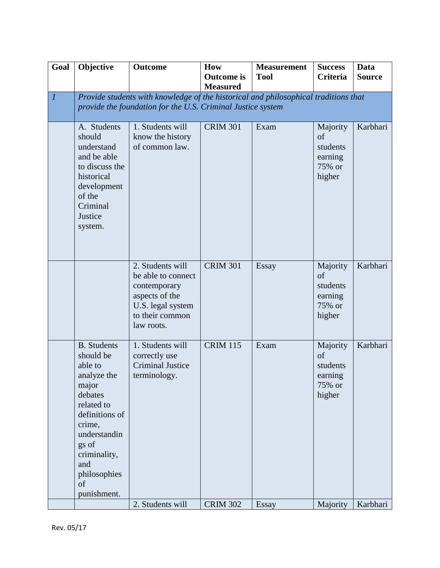| Goal                        | Objective                                                                                                                                                                                                    | <b>Outcome</b>                                                                                                                                     | <b>How</b><br><b>Outcome</b> is<br><b>Measured</b> | <b>Measurement</b><br><b>Tool</b> | <b>Success</b><br><b>Criteria</b>                         | Data<br><b>Source</b> |
|-----------------------------|--------------------------------------------------------------------------------------------------------------------------------------------------------------------------------------------------------------|----------------------------------------------------------------------------------------------------------------------------------------------------|----------------------------------------------------|-----------------------------------|-----------------------------------------------------------|-----------------------|
| $\mathcal{I}_{\mathcal{I}}$ |                                                                                                                                                                                                              | Provide students with knowledge of the historical and philosophical traditions that<br>provide the foundation for the U.S. Criminal Justice system |                                                    |                                   |                                                           |                       |
|                             | A. Students<br>should<br>understand<br>and be able<br>to discuss the<br>historical<br>development<br>of the<br>Criminal<br>Justice<br>system.                                                                | 1. Students will<br>know the history<br>of common law.                                                                                             | <b>CRIM 301</b>                                    | Exam                              | Majority<br>of<br>students<br>earning<br>75% or<br>higher | Karbhari              |
|                             |                                                                                                                                                                                                              | 2. Students will<br>be able to connect<br>contemporary<br>aspects of the<br>U.S. legal system<br>to their common<br>law roots.                     | <b>CRIM 301</b>                                    | Essay                             | Majority<br>of<br>students<br>earning<br>75% or<br>higher | Karbhari              |
|                             | <b>B.</b> Students<br>should be<br>able to<br>analyze the<br>major<br>debates<br>related to<br>definitions of<br>crime,<br>understandin<br>gs of<br>criminality,<br>and<br>philosophies<br>of<br>punishment. | 1. Students will<br>correctly use<br><b>Criminal Justice</b><br>terminology.                                                                       | <b>CRIM 115</b>                                    | Exam                              | Majority<br>of<br>students<br>earning<br>75% or<br>higher | Karbhari              |
|                             |                                                                                                                                                                                                              | 2. Students will                                                                                                                                   | <b>CRIM 302</b>                                    | Essay                             | Majority                                                  | Karbhari              |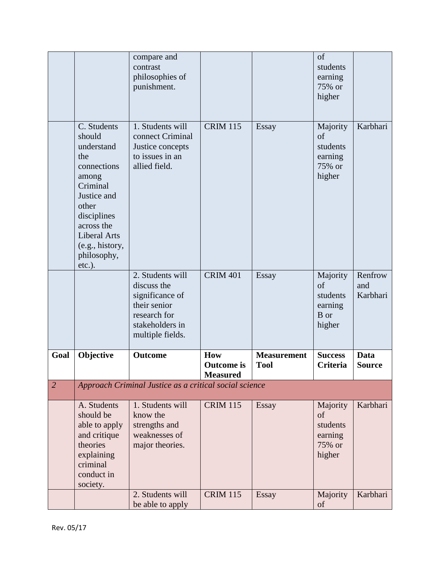|                | society.                                                                                                                                                                                                  | 2. Students will<br>be able to apply                                                                                      | <b>CRIM 115</b>                                    | <b>Essay</b>                      | Majority<br>of                                                  | Karbhari                   |
|----------------|-----------------------------------------------------------------------------------------------------------------------------------------------------------------------------------------------------------|---------------------------------------------------------------------------------------------------------------------------|----------------------------------------------------|-----------------------------------|-----------------------------------------------------------------|----------------------------|
|                | A. Students<br>should be<br>able to apply<br>and critique<br>theories<br>explaining<br>criminal<br>conduct in                                                                                             | 1. Students will<br>know the<br>strengths and<br>weaknesses of<br>major theories.                                         | <b>CRIM 115</b>                                    | <b>Essay</b>                      | Majority<br>of<br>students<br>earning<br>75% or<br>higher       | Karbhari                   |
| $\overline{2}$ |                                                                                                                                                                                                           | Approach Criminal Justice as a critical social science                                                                    |                                                    |                                   |                                                                 |                            |
| Goal           | Objective                                                                                                                                                                                                 | Outcome                                                                                                                   | <b>How</b><br><b>Outcome</b> is<br><b>Measured</b> | <b>Measurement</b><br><b>Tool</b> | <b>Success</b><br>Criteria                                      | Data<br><b>Source</b>      |
|                |                                                                                                                                                                                                           | 2. Students will<br>discuss the<br>significance of<br>their senior<br>research for<br>stakeholders in<br>multiple fields. | <b>CRIM 401</b>                                    | <b>Essay</b>                      | Majority<br>$\sigma$ f<br>students<br>earning<br>B or<br>higher | Renfrow<br>and<br>Karbhari |
|                | C. Students<br>should<br>understand<br>the<br>connections<br>among<br>Criminal<br>Justice and<br>other<br>disciplines<br>across the<br><b>Liberal Arts</b><br>(e.g., history,<br>philosophy,<br>$etc.$ ). | 1. Students will<br>connect Criminal<br>Justice concepts<br>to issues in an<br>allied field.                              | <b>CRIM 115</b>                                    | Essay                             | Majority<br>of<br>students<br>earning<br>75% or<br>higher       | Karbhari                   |
|                |                                                                                                                                                                                                           | compare and<br>contrast<br>philosophies of<br>punishment.                                                                 |                                                    |                                   | of<br>students<br>earning<br>75% or<br>higher                   |                            |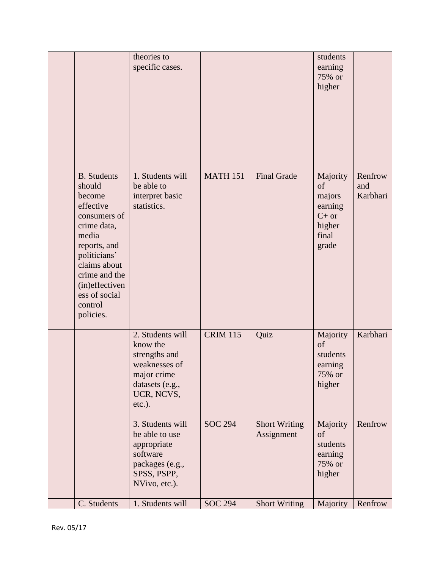|                                                                                                                                                                                                                         | theories to<br>specific cases.                                                                                              |                 |                                    | students<br>earning<br>75% or<br>higher                                    |                            |
|-------------------------------------------------------------------------------------------------------------------------------------------------------------------------------------------------------------------------|-----------------------------------------------------------------------------------------------------------------------------|-----------------|------------------------------------|----------------------------------------------------------------------------|----------------------------|
| <b>B.</b> Students<br>should<br>become<br>effective<br>consumers of<br>crime data,<br>media<br>reports, and<br>politicians'<br>claims about<br>crime and the<br>(in)effectiven<br>ess of social<br>control<br>policies. | 1. Students will<br>be able to<br>interpret basic<br>statistics.                                                            | <b>MATH 151</b> | <b>Final Grade</b>                 | Majority<br>of<br>majors<br>earning<br>$C+$ or<br>higher<br>final<br>grade | Renfrow<br>and<br>Karbhari |
|                                                                                                                                                                                                                         | 2. Students will<br>know the<br>strengths and<br>weaknesses of<br>major crime<br>datasets (e.g.,<br>UCR, NCVS,<br>$etc.$ ). | <b>CRIM 115</b> | Quiz                               | Majority<br>of<br>students<br>earning<br>75% or<br>higher                  | Karbhari                   |
|                                                                                                                                                                                                                         | 3. Students will<br>be able to use<br>appropriate<br>software<br>packages (e.g.,<br>SPSS, PSPP,<br>NVivo, etc.).            | <b>SOC 294</b>  | <b>Short Writing</b><br>Assignment | Majority<br>of<br>students<br>earning<br>75% or<br>higher                  | Renfrow                    |
| C. Students                                                                                                                                                                                                             | 1. Students will                                                                                                            | <b>SOC 294</b>  | <b>Short Writing</b>               | Majority                                                                   | Renfrow                    |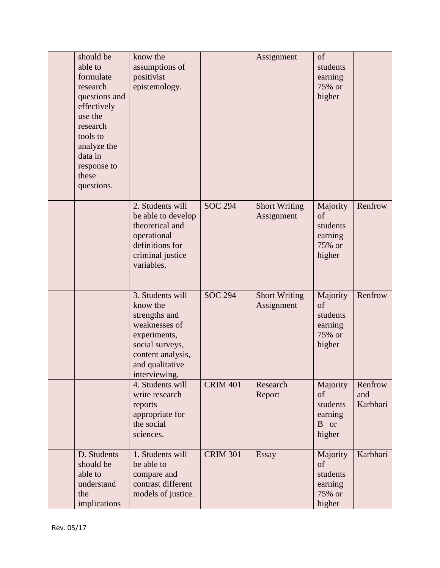| should be<br>able to<br>formulate<br>research<br>questions and<br>effectively<br>use the<br>research<br>tools to<br>analyze the<br>data in<br>response to<br>these<br>questions. | know the<br>assumptions of<br>positivist<br>epistemology.                                                                                                  |                 | Assignment                         | of<br>students<br>earning<br>75% or<br>higher                        |                            |
|----------------------------------------------------------------------------------------------------------------------------------------------------------------------------------|------------------------------------------------------------------------------------------------------------------------------------------------------------|-----------------|------------------------------------|----------------------------------------------------------------------|----------------------------|
|                                                                                                                                                                                  | 2. Students will<br>be able to develop<br>theoretical and<br>operational<br>definitions for<br>criminal justice<br>variables.                              | <b>SOC 294</b>  | <b>Short Writing</b><br>Assignment | Majority<br>of<br>students<br>earning<br>75% or<br>higher            | Renfrow                    |
|                                                                                                                                                                                  | 3. Students will<br>know the<br>strengths and<br>weaknesses of<br>experiments,<br>social surveys,<br>content analysis,<br>and qualitative<br>interviewing. | <b>SOC 294</b>  | <b>Short Writing</b><br>Assignment | Majority<br>of<br>students<br>earning<br>75% or<br>higher            | Renfrow                    |
|                                                                                                                                                                                  | 4. Students will<br>write research<br>reports<br>appropriate for<br>the social<br>sciences.                                                                | <b>CRIM 401</b> | Research<br>Report                 | Majority<br>of<br>students<br>earning<br>B or<br>higher              | Renfrow<br>and<br>Karbhari |
| D. Students<br>should be<br>able to<br>understand<br>the<br>implications                                                                                                         | 1. Students will<br>be able to<br>compare and<br>contrast different<br>models of justice.                                                                  | <b>CRIM 301</b> | <b>Essay</b>                       | Majority<br><sub>of</sub><br>students<br>earning<br>75% or<br>higher | Karbhari                   |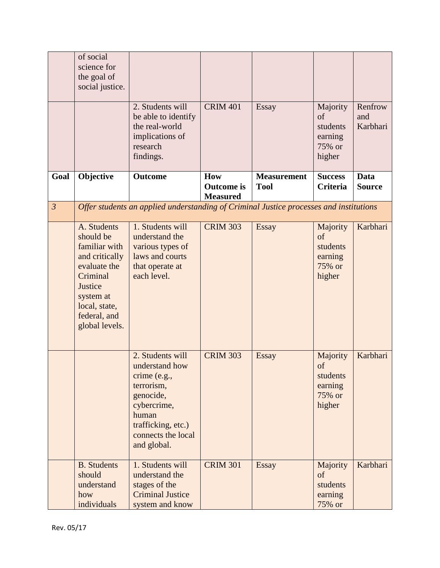|                | of social<br>science for<br>the goal of<br>social justice.                                                                                                         |                                                                                                                                                                  |                                             |                                   |                                                           |                              |
|----------------|--------------------------------------------------------------------------------------------------------------------------------------------------------------------|------------------------------------------------------------------------------------------------------------------------------------------------------------------|---------------------------------------------|-----------------------------------|-----------------------------------------------------------|------------------------------|
|                |                                                                                                                                                                    | 2. Students will<br>be able to identify<br>the real-world<br>implications of<br>research<br>findings.                                                            | <b>CRIM 401</b>                             | <b>Essay</b>                      | Majority<br>of<br>students<br>earning<br>75% or<br>higher | Renfrow<br>and<br>Karbhari   |
| Goal           | Objective                                                                                                                                                          | Outcome                                                                                                                                                          | How<br><b>Outcome</b> is<br><b>Measured</b> | <b>Measurement</b><br><b>Tool</b> | <b>Success</b><br>Criteria                                | <b>Data</b><br><b>Source</b> |
| $\mathfrak{Z}$ |                                                                                                                                                                    | Offer students an applied understanding of Criminal Justice processes and institutions                                                                           |                                             |                                   |                                                           |                              |
|                | A. Students<br>should be<br>familiar with<br>and critically<br>evaluate the<br>Criminal<br>Justice<br>system at<br>local, state,<br>federal, and<br>global levels. | 1. Students will<br>understand the<br>various types of<br>laws and courts<br>that operate at<br>each level.                                                      | <b>CRIM 303</b>                             | <b>Essay</b>                      | Majority<br>of<br>students<br>earning<br>75% or<br>higher | Karbhari                     |
|                |                                                                                                                                                                    | 2. Students will<br>understand how<br>crime (e.g.,<br>terrorism,<br>genocide,<br>cybercrime,<br>human<br>trafficking, etc.)<br>connects the local<br>and global. | <b>CRIM 303</b>                             | Essay                             | Majority<br>of<br>students<br>earning<br>75% or<br>higher | Karbhari                     |
|                | <b>B.</b> Students<br>should<br>understand<br>how<br>individuals                                                                                                   | 1. Students will<br>understand the<br>stages of the<br><b>Criminal Justice</b><br>system and know                                                                | <b>CRIM 301</b>                             | <b>Essay</b>                      | Majority<br>of<br>students<br>earning<br>75% or           | Karbhari                     |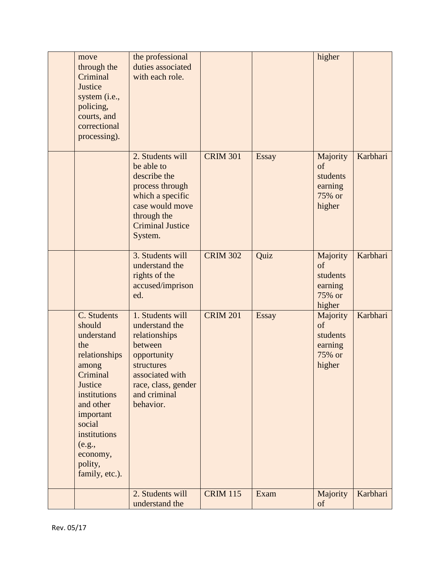| move<br>through the<br>Criminal<br>Justice<br>system (i.e.,<br>policing,<br>courts, and<br>correctional<br>processing).                                                                                            | the professional<br>duties associated<br>with each role.                                                                                                           |                 |              | higher                                                    |          |
|--------------------------------------------------------------------------------------------------------------------------------------------------------------------------------------------------------------------|--------------------------------------------------------------------------------------------------------------------------------------------------------------------|-----------------|--------------|-----------------------------------------------------------|----------|
|                                                                                                                                                                                                                    | 2. Students will<br>be able to<br>describe the<br>process through<br>which a specific<br>case would move<br>through the<br><b>Criminal Justice</b><br>System.      | <b>CRIM 301</b> | <b>Essay</b> | Majority<br>of<br>students<br>earning<br>75% or<br>higher | Karbhari |
|                                                                                                                                                                                                                    | 3. Students will<br>understand the<br>rights of the<br>accused/imprison<br>ed.                                                                                     | <b>CRIM 302</b> | Quiz         | Majority<br>of<br>students<br>earning<br>75% or<br>higher | Karbhari |
| C. Students<br>should<br>understand<br>the<br>relationships<br>among<br>Criminal<br>Justice<br>institutions<br>and other<br>important<br>social<br>institutions<br>(e.g.,<br>economy,<br>polity,<br>family, etc.). | 1. Students will<br>understand the<br>relationships<br>between<br>opportunity<br>structures<br>associated with<br>race, class, gender<br>and criminal<br>behavior. | <b>CRIM 201</b> | <b>Essay</b> | Majority<br>of<br>students<br>earning<br>75% or<br>higher | Karbhari |
|                                                                                                                                                                                                                    | 2. Students will<br>understand the                                                                                                                                 | <b>CRIM 115</b> | Exam         | Majority<br>of                                            | Karbhari |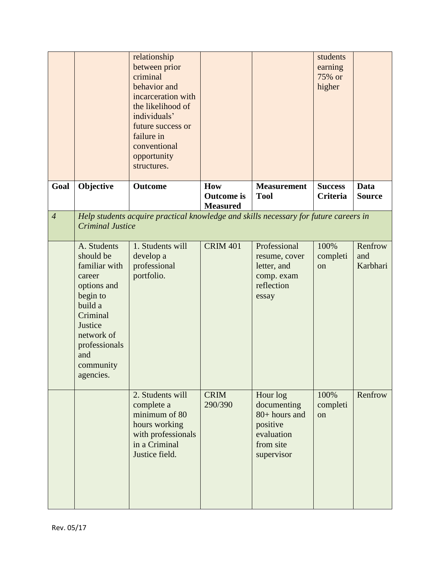|                |                                                                                                                                                                                  | relationship<br>between prior<br>criminal<br>behavior and<br>incarceration with<br>the likelihood of<br>individuals'<br>future success or<br>failure in<br>conventional<br>opportunity<br>structures. |                                             |                                                                                               | students<br>earning<br>75% or<br>higher |                              |
|----------------|----------------------------------------------------------------------------------------------------------------------------------------------------------------------------------|-------------------------------------------------------------------------------------------------------------------------------------------------------------------------------------------------------|---------------------------------------------|-----------------------------------------------------------------------------------------------|-----------------------------------------|------------------------------|
| Goal           | Objective                                                                                                                                                                        | <b>Outcome</b>                                                                                                                                                                                        | How<br><b>Outcome</b> is<br><b>Measured</b> | <b>Measurement</b><br><b>Tool</b>                                                             | <b>Success</b><br>Criteria              | <b>Data</b><br><b>Source</b> |
| $\overline{4}$ | <b>Criminal Justice</b>                                                                                                                                                          | Help students acquire practical knowledge and skills necessary for future careers in                                                                                                                  |                                             |                                                                                               |                                         |                              |
|                | A. Students<br>should be<br>familiar with<br>career<br>options and<br>begin to<br>build a<br>Criminal<br>Justice<br>network of<br>professionals<br>and<br>community<br>agencies. | 1. Students will<br>develop a<br>professional<br>portfolio.                                                                                                                                           | <b>CRIM 401</b>                             | Professional<br>resume, cover<br>letter, and<br>comp. exam<br>reflection<br>essay             | 100%<br>completi<br><sub>on</sub>       | Renfrow<br>and<br>Karbhari   |
|                |                                                                                                                                                                                  | 2. Students will<br>complete a<br>minimum of 80<br>hours working<br>with professionals<br>in a Criminal<br>Justice field.                                                                             | <b>CRIM</b><br>290/390                      | Hour log<br>documenting<br>80+ hours and<br>positive<br>evaluation<br>from site<br>supervisor | 100%<br>completi<br>on                  | Renfrow                      |